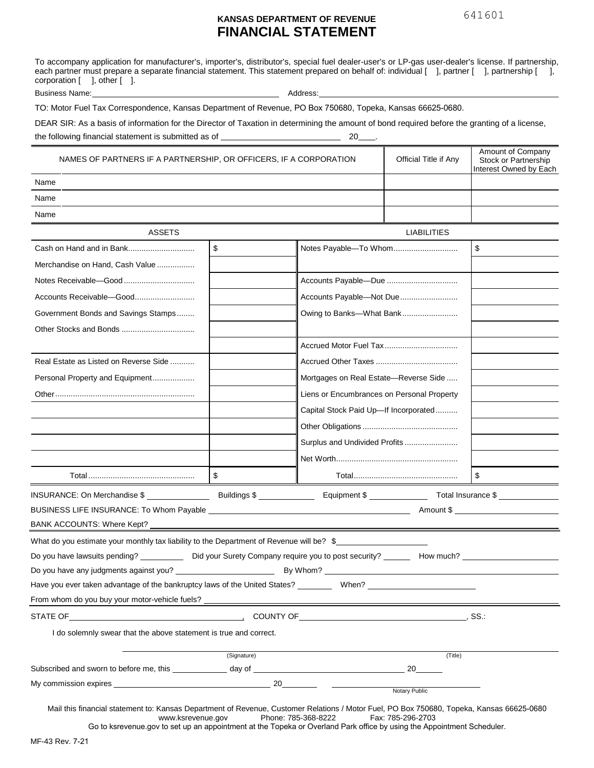## **KANSAS DEPARTMENT OF REVENUE FINANCIAL STATEMENT**

To accompany application for manufacturer's, importer's, distributor's, special fuel dealer-user's or LP-gas user-dealer's license. If partnership, each partner must prepare a separate financial statement. This statement prepared on behalf of: individual [ ], partner [ ], partnership [ ],  $\text{corporation} \left[ \quad \right], \text{other} \left[ \quad \right].$ 

Business Name: Address: Address: Address: Address: Address: Address: Address: Address: Address: Address: Address: Address: Address: Address: Address: Address: Address: Address: Address: Address: Address: Address: Address:

TO: Motor Fuel Tax Correspondence, Kansas Department of Revenue, PO Box 750680, Topeka, Kansas 66625-0680.

DEAR SIR: As a basis of information for the Director of Taxation in determining the amount of bond required before the granting of a license, the following financial statement is submitted as of 20 .

| NAMES OF PARTNERS IF A PARTNERSHIP, OR OFFICERS, IF A CORPORATION                                                                                      | Official Title if Any | Amount of Company<br>Stock or Partnership<br>Interest Owned by Each |                    |    |
|--------------------------------------------------------------------------------------------------------------------------------------------------------|-----------------------|---------------------------------------------------------------------|--------------------|----|
| Name                                                                                                                                                   |                       |                                                                     |                    |    |
| Name                                                                                                                                                   |                       |                                                                     |                    |    |
| Name                                                                                                                                                   |                       |                                                                     |                    |    |
| <b>ASSETS</b>                                                                                                                                          |                       |                                                                     | <b>LIABILITIES</b> |    |
|                                                                                                                                                        | \$                    | Notes Payable-To Whom                                               |                    | \$ |
| Merchandise on Hand, Cash Value                                                                                                                        |                       |                                                                     |                    |    |
|                                                                                                                                                        |                       | Accounts Payable-Due                                                |                    |    |
|                                                                                                                                                        |                       | Accounts Payable-Not Due                                            |                    |    |
| Government Bonds and Savings Stamps                                                                                                                    |                       | Owing to Banks-What Bank                                            |                    |    |
|                                                                                                                                                        |                       |                                                                     |                    |    |
|                                                                                                                                                        |                       |                                                                     |                    |    |
| Real Estate as Listed on Reverse Side                                                                                                                  |                       |                                                                     |                    |    |
| Personal Property and Equipment                                                                                                                        |                       | Mortgages on Real Estate-Reverse Side                               |                    |    |
|                                                                                                                                                        |                       | Liens or Encumbrances on Personal Property                          |                    |    |
|                                                                                                                                                        |                       | Capital Stock Paid Up-If Incorporated                               |                    |    |
|                                                                                                                                                        |                       |                                                                     |                    |    |
|                                                                                                                                                        |                       | Surplus and Undivided Profits                                       |                    |    |
|                                                                                                                                                        |                       |                                                                     |                    |    |
|                                                                                                                                                        | \$                    |                                                                     |                    | \$ |
| INSURANCE: On Merchandise \$ ________________________Buildings \$ _________________ Equipment \$ ________________ Total Insurance \$ _________________ |                       |                                                                     |                    |    |
|                                                                                                                                                        |                       |                                                                     |                    |    |
| BANK ACCOUNTS: Where Kept?                                                                                                                             |                       |                                                                     |                    |    |
| What do you estimate your monthly tax liability to the Department of Revenue will be? \$                                                               |                       |                                                                     |                    |    |
| Do you have lawsuits pending? ____________ Did your Surety Company require you to post security? _______ How much? ______                              |                       |                                                                     |                    |    |
| Do you have any judgments against you? [142] [2012 10:2012 10:2012 10:2012 10:2012 10:2012 10:2012 10:2012 10:                                         |                       |                                                                     |                    |    |
| Have you ever taken advantage of the bankruptcy laws of the United States? __________ When? ________                                                   |                       |                                                                     |                    |    |
| From whom do you buy your motor-vehicle fuels? _                                                                                                       |                       |                                                                     |                    |    |
|                                                                                                                                                        | $,$ SS $\therefore$   |                                                                     |                    |    |
| I do solemnly swear that the above statement is true and correct.                                                                                      |                       |                                                                     |                    |    |
|                                                                                                                                                        | (Signature)           |                                                                     | (Title)            |    |
|                                                                                                                                                        |                       |                                                                     |                    |    |
|                                                                                                                                                        |                       |                                                                     | Notary Public      |    |
|                                                                                                                                                        |                       |                                                                     |                    |    |

Mail this financial statement to: Kansas Department of Revenue, Customer Relations / Motor Fuel, PO Box 750680, Topeka, Kansas 66625-0680<br>www.ksrevenue.gov Phone: 785-368-8222 Fax: 785-296-2703 Phone: 785-368-8222

Go to ksrevenue.gov to set up an appointment at the Topeka or Overland Park office by using the Appointment Scheduler.